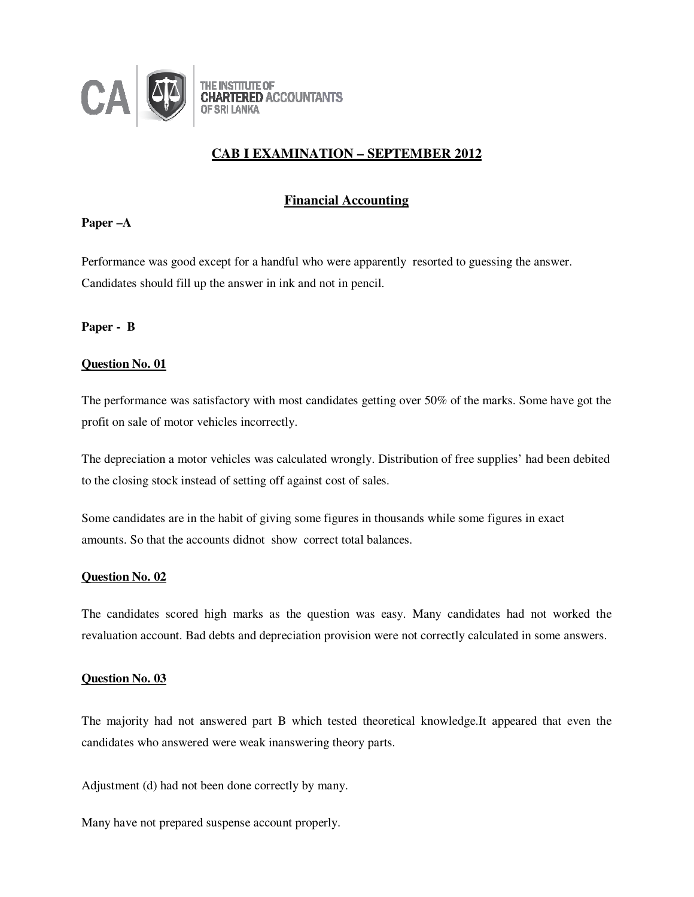

# **CAB I EXAMINATION – SEPTEMBER 2012**

# **Financial Accounting**

## **Paper –A**

Performance was good except for a handful who were apparently resorted to guessing the answer. Candidates should fill up the answer in ink and not in pencil.

**Paper - B** 

## **Question No. 01**

The performance was satisfactory with most candidates getting over 50% of the marks. Some have got the profit on sale of motor vehicles incorrectly.

The depreciation a motor vehicles was calculated wrongly. Distribution of free supplies' had been debited to the closing stock instead of setting off against cost of sales.

Some candidates are in the habit of giving some figures in thousands while some figures in exact amounts. So that the accounts didnot show correct total balances.

### **Question No. 02**

The candidates scored high marks as the question was easy. Many candidates had not worked the revaluation account. Bad debts and depreciation provision were not correctly calculated in some answers.

### **Question No. 03**

The majority had not answered part B which tested theoretical knowledge.It appeared that even the candidates who answered were weak inanswering theory parts.

Adjustment (d) had not been done correctly by many.

Many have not prepared suspense account properly.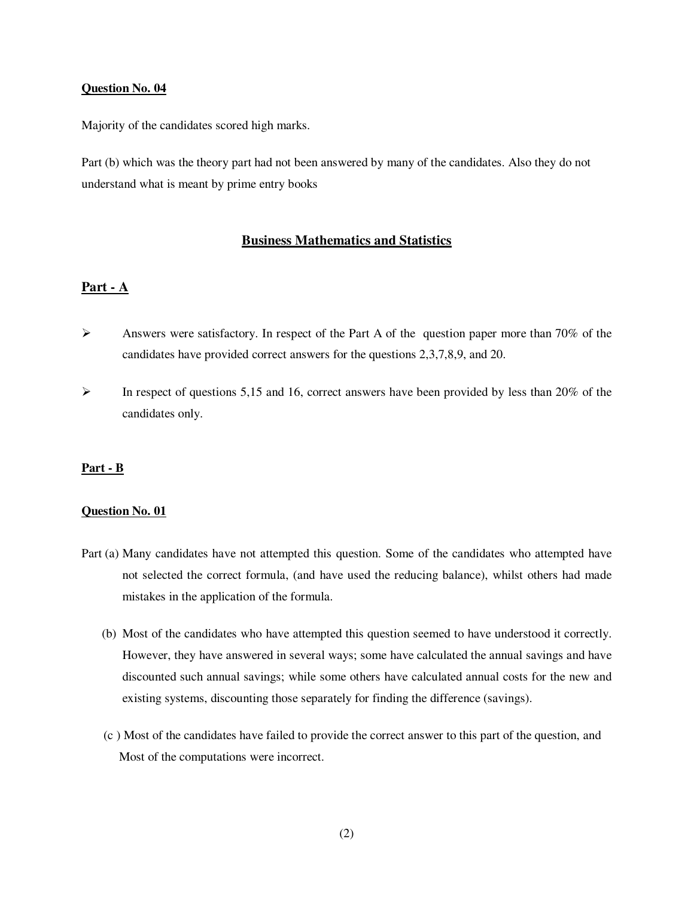Majority of the candidates scored high marks.

Part (b) which was the theory part had not been answered by many of the candidates. Also they do not understand what is meant by prime entry books

## **Business Mathematics and Statistics**

## **Part - A**

- $\triangleright$  Answers were satisfactory. In respect of the Part A of the question paper more than 70% of the candidates have provided correct answers for the questions 2,3,7,8,9, and 20.
- $\triangleright$  In respect of questions 5,15 and 16, correct answers have been provided by less than 20% of the candidates only.

### **Part - B**

## **Question No. 01**

- Part (a) Many candidates have not attempted this question. Some of the candidates who attempted have not selected the correct formula, (and have used the reducing balance), whilst others had made mistakes in the application of the formula.
	- (b) Most of the candidates who have attempted this question seemed to have understood it correctly. However, they have answered in several ways; some have calculated the annual savings and have discounted such annual savings; while some others have calculated annual costs for the new and existing systems, discounting those separately for finding the difference (savings).
	- (c ) Most of the candidates have failed to provide the correct answer to this part of the question, and Most of the computations were incorrect.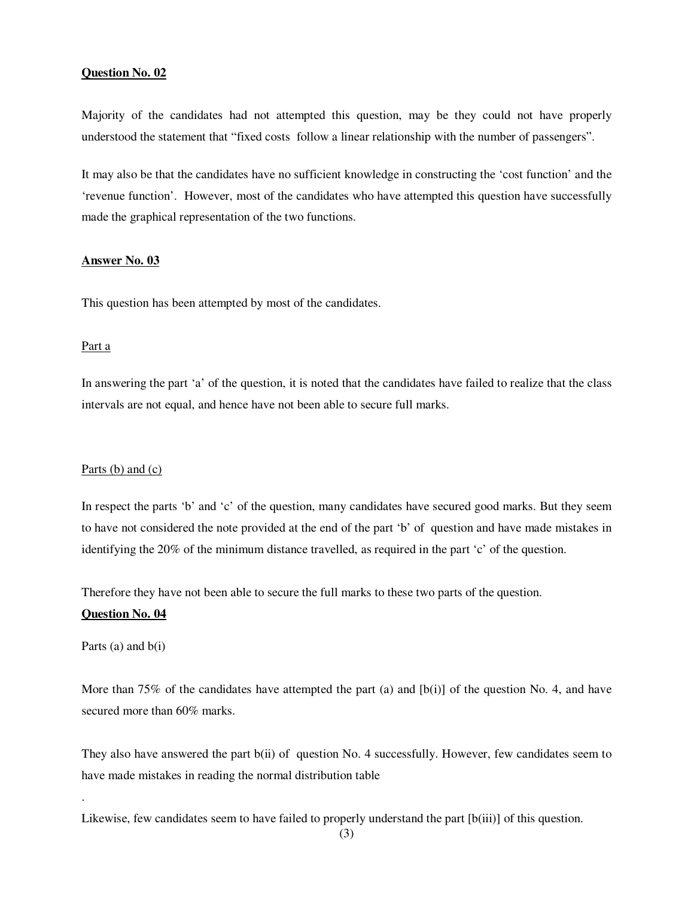Majority of the candidates had not attempted this question, may be they could not have properly understood the statement that "fixed costs follow a linear relationship with the number of passengers".

It may also be that the candidates have no sufficient knowledge in constructing the 'cost function' and the 'revenue function'. However, most of the candidates who have attempted this question have successfully made the graphical representation of the two functions.

## **Answer No. 03**

This question has been attempted by most of the candidates.

### Part a

In answering the part 'a' of the question, it is noted that the candidates have failed to realize that the class intervals are not equal, and hence have not been able to secure full marks.

#### Parts (b) and (c)

In respect the parts 'b' and 'c' of the question, many candidates have secured good marks. But they seem to have not considered the note provided at the end of the part 'b' of question and have made mistakes in identifying the 20% of the minimum distance travelled, as required in the part 'c' of the question.

Therefore they have not been able to secure the full marks to these two parts of the question.

## **Question No. 04**

Parts  $(a)$  and  $b(i)$ 

.

More than 75% of the candidates have attempted the part (a) and  $[b(i)]$  of the question No. 4, and have secured more than 60% marks.

They also have answered the part b(ii) of question No. 4 successfully. However, few candidates seem to have made mistakes in reading the normal distribution table

Likewise, few candidates seem to have failed to properly understand the part  $[b(iii)]$  of this question.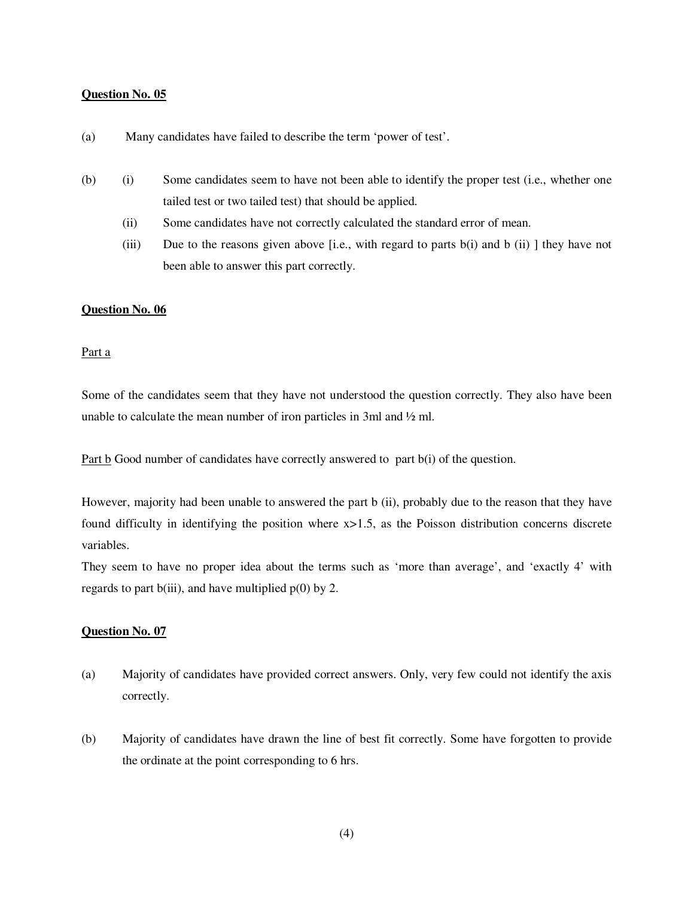- (a) Many candidates have failed to describe the term 'power of test'.
- (b) (i) Some candidates seem to have not been able to identify the proper test (i.e., whether one tailed test or two tailed test) that should be applied.
	- (ii) Some candidates have not correctly calculated the standard error of mean.
	- (iii) Due to the reasons given above [i.e., with regard to parts b(i) and b (ii) ] they have not been able to answer this part correctly.

### **Question No. 06**

### Part a

Some of the candidates seem that they have not understood the question correctly. They also have been unable to calculate the mean number of iron particles in 3ml and ½ ml.

Part b Good number of candidates have correctly answered to part b(i) of the question.

However, majority had been unable to answered the part b (ii), probably due to the reason that they have found difficulty in identifying the position where x>1.5, as the Poisson distribution concerns discrete variables.

They seem to have no proper idea about the terms such as 'more than average', and 'exactly 4' with regards to part b(iii), and have multiplied  $p(0)$  by 2.

## **Question No. 07**

- (a) Majority of candidates have provided correct answers. Only, very few could not identify the axis correctly.
- (b) Majority of candidates have drawn the line of best fit correctly. Some have forgotten to provide the ordinate at the point corresponding to 6 hrs.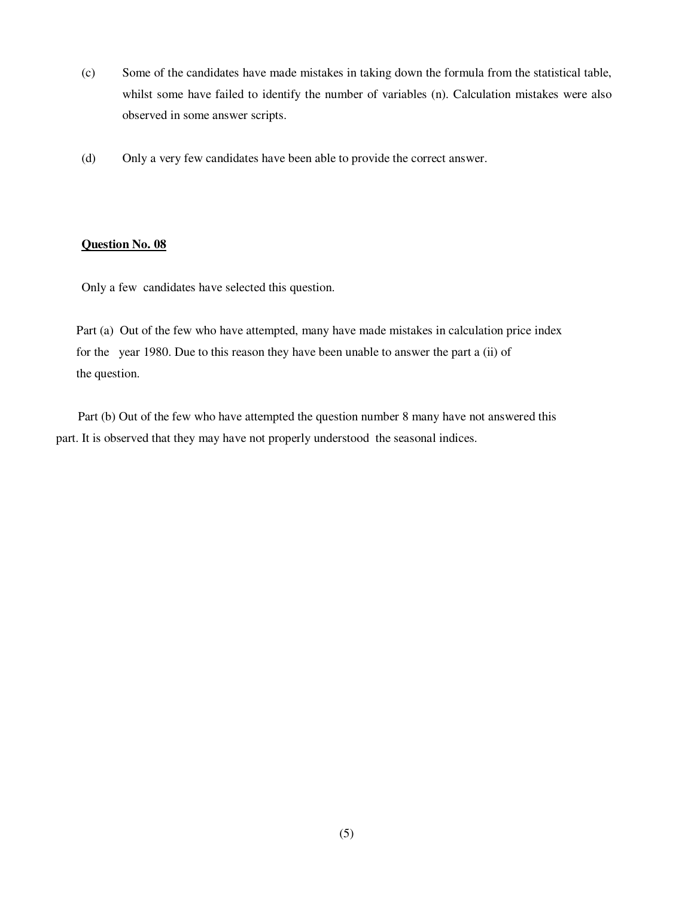- (c) Some of the candidates have made mistakes in taking down the formula from the statistical table, whilst some have failed to identify the number of variables (n). Calculation mistakes were also observed in some answer scripts.
- (d) Only a very few candidates have been able to provide the correct answer.

Only a few candidates have selected this question.

Part (a) Out of the few who have attempted, many have made mistakes in calculation price index for the year 1980. Due to this reason they have been unable to answer the part a (ii) of the question.

 Part (b) Out of the few who have attempted the question number 8 many have not answered this part. It is observed that they may have not properly understood the seasonal indices.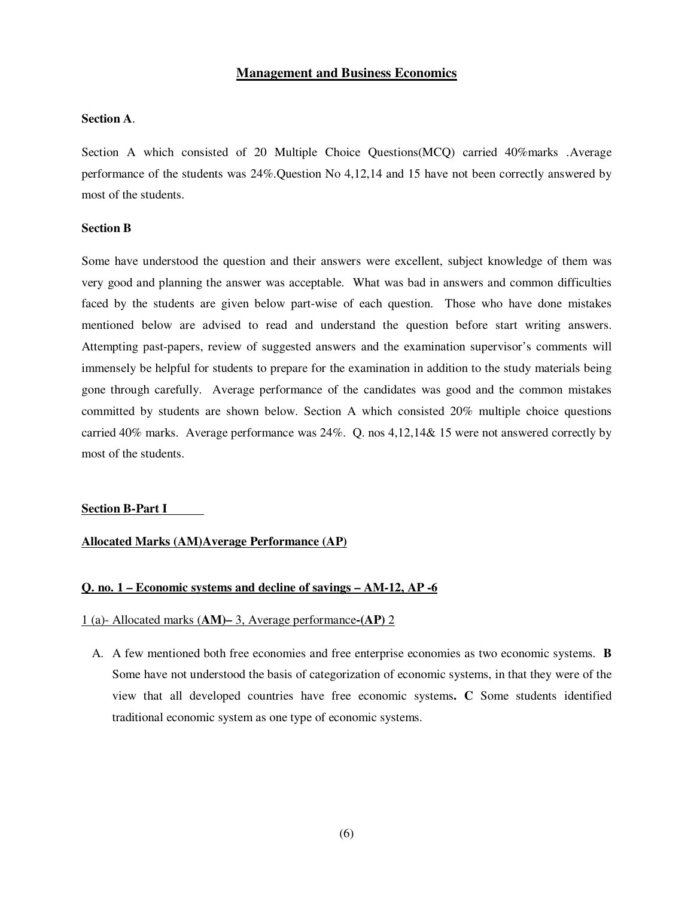# **Management and Business Economics**

#### **Section A**.

Section A which consisted of 20 Multiple Choice Questions(MCQ) carried 40%marks .Average performance of the students was 24%.Question No 4,12,14 and 15 have not been correctly answered by most of the students.

### **Section B**

Some have understood the question and their answers were excellent, subject knowledge of them was very good and planning the answer was acceptable. What was bad in answers and common difficulties faced by the students are given below part-wise of each question. Those who have done mistakes mentioned below are advised to read and understand the question before start writing answers. Attempting past-papers, review of suggested answers and the examination supervisor's comments will immensely be helpful for students to prepare for the examination in addition to the study materials being gone through carefully. Average performance of the candidates was good and the common mistakes committed by students are shown below. Section A which consisted 20% multiple choice questions carried 40% marks. Average performance was 24%. Q. nos 4,12,14& 15 were not answered correctly by most of the students.

#### **Section B-Part I**

## **Allocated Marks (AM)Average Performance (AP)**

## **Q. no. 1 – Economic systems and decline of savings – AM-12, AP -6**

#### 1 (a)- Allocated marks (**AM)–** 3, Average performance**-(AP)** 2

A. A few mentioned both free economies and free enterprise economies as two economic systems. **B**  Some have not understood the basis of categorization of economic systems, in that they were of the view that all developed countries have free economic systems**. C** Some students identified traditional economic system as one type of economic systems.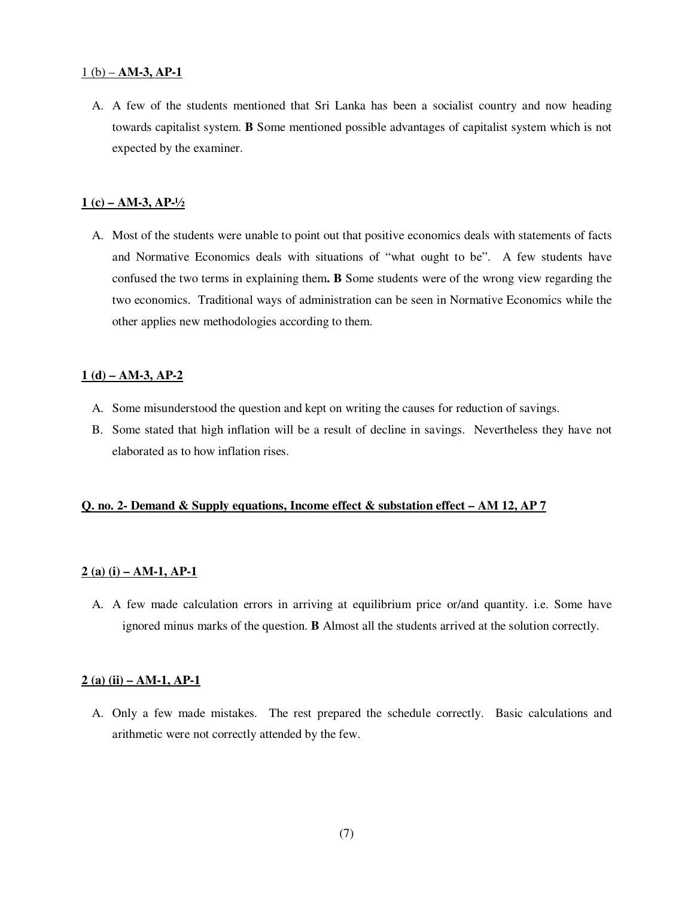### $1(b) - AM-3$ , AP-1

A. A few of the students mentioned that Sri Lanka has been a socialist country and now heading towards capitalist system. **B** Some mentioned possible advantages of capitalist system which is not expected by the examiner.

#### **1 (c) – AM-3, AP-½**

A. Most of the students were unable to point out that positive economics deals with statements of facts and Normative Economics deals with situations of "what ought to be". A few students have confused the two terms in explaining them**. B** Some students were of the wrong view regarding the two economics. Traditional ways of administration can be seen in Normative Economics while the other applies new methodologies according to them.

### **1 (d) – AM-3, AP-2**

- A. Some misunderstood the question and kept on writing the causes for reduction of savings.
- B. Some stated that high inflation will be a result of decline in savings. Nevertheless they have not elaborated as to how inflation rises.

### **Q. no. 2- Demand & Supply equations, Income effect & substation effect – AM 12, AP 7**

### **2 (a) (i) – AM-1, AP-1**

A. A few made calculation errors in arriving at equilibrium price or/and quantity. i.e. Some have ignored minus marks of the question. **B** Almost all the students arrived at the solution correctly.

#### **2 (a) (ii) – AM-1, AP-1**

A. Only a few made mistakes. The rest prepared the schedule correctly. Basic calculations and arithmetic were not correctly attended by the few.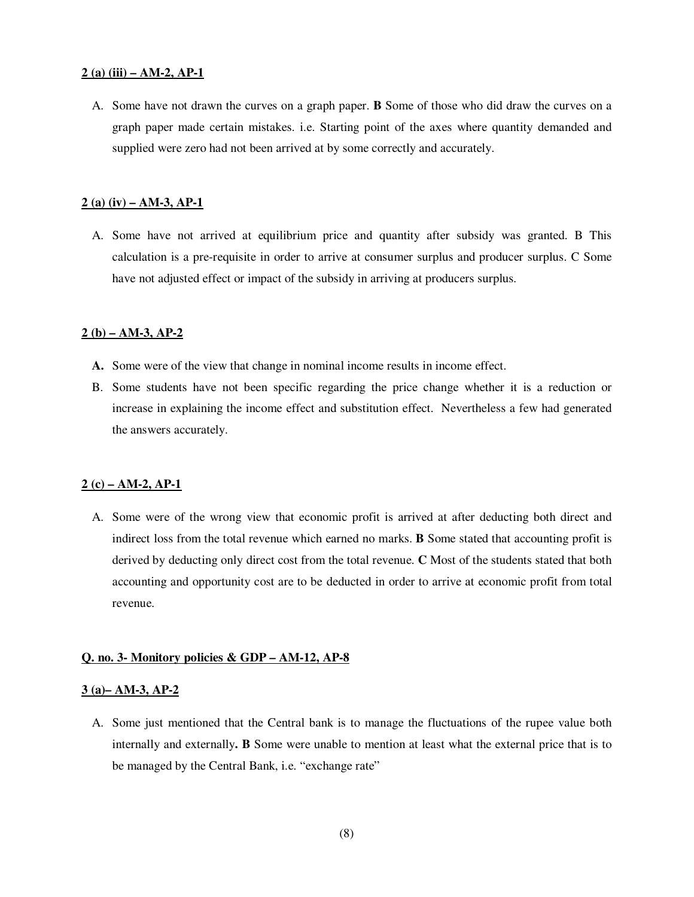#### **2 (a) (iii) – AM-2, AP-1**

A. Some have not drawn the curves on a graph paper. **B** Some of those who did draw the curves on a graph paper made certain mistakes. i.e. Starting point of the axes where quantity demanded and supplied were zero had not been arrived at by some correctly and accurately.

#### **2 (a) (iv) – AM-3, AP-1**

A. Some have not arrived at equilibrium price and quantity after subsidy was granted. B This calculation is a pre-requisite in order to arrive at consumer surplus and producer surplus. C Some have not adjusted effect or impact of the subsidy in arriving at producers surplus.

### **2 (b) – AM-3, AP-2**

- **A.** Some were of the view that change in nominal income results in income effect.
- B. Some students have not been specific regarding the price change whether it is a reduction or increase in explaining the income effect and substitution effect. Nevertheless a few had generated the answers accurately.

#### **2 (c) – AM-2, AP-1**

A. Some were of the wrong view that economic profit is arrived at after deducting both direct and indirect loss from the total revenue which earned no marks. **B** Some stated that accounting profit is derived by deducting only direct cost from the total revenue. **C** Most of the students stated that both accounting and opportunity cost are to be deducted in order to arrive at economic profit from total revenue.

#### **Q. no. 3- Monitory policies & GDP – AM-12, AP-8**

#### **3 (a)– AM-3, AP-2**

A. Some just mentioned that the Central bank is to manage the fluctuations of the rupee value both internally and externally**. B** Some were unable to mention at least what the external price that is to be managed by the Central Bank, i.e. "exchange rate"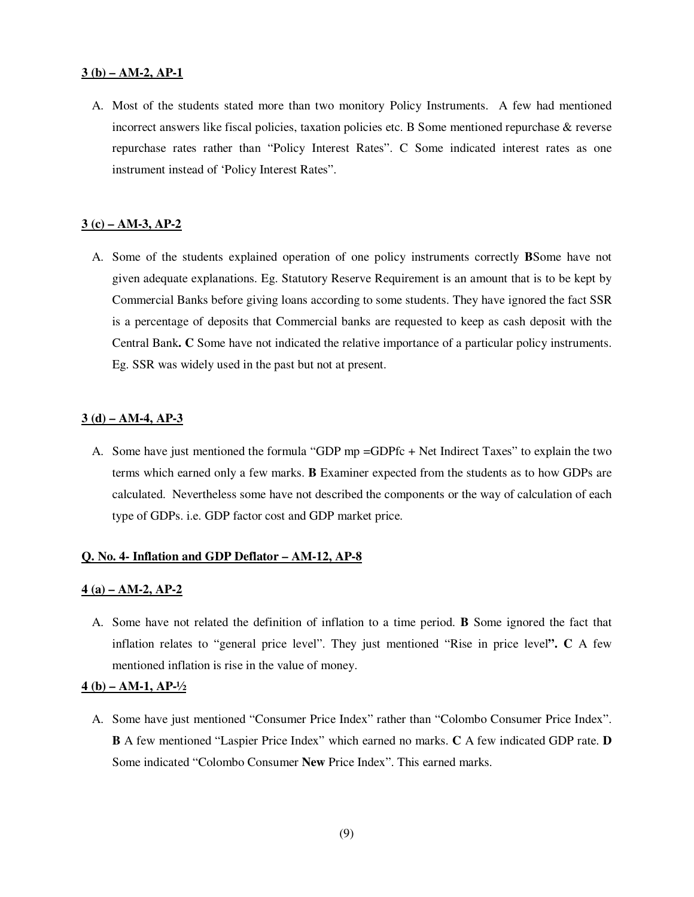#### **3 (b) – AM-2, AP-1**

A. Most of the students stated more than two monitory Policy Instruments. A few had mentioned incorrect answers like fiscal policies, taxation policies etc. B Some mentioned repurchase & reverse repurchase rates rather than "Policy Interest Rates". C Some indicated interest rates as one instrument instead of 'Policy Interest Rates".

### **3 (c) – AM-3, AP-2**

A. Some of the students explained operation of one policy instruments correctly **B**Some have not given adequate explanations. Eg. Statutory Reserve Requirement is an amount that is to be kept by Commercial Banks before giving loans according to some students. They have ignored the fact SSR is a percentage of deposits that Commercial banks are requested to keep as cash deposit with the Central Bank**. C** Some have not indicated the relative importance of a particular policy instruments. Eg. SSR was widely used in the past but not at present.

#### **3 (d) – AM-4, AP-3**

A. Some have just mentioned the formula "GDP mp =GDPfc + Net Indirect Taxes" to explain the two terms which earned only a few marks. **B** Examiner expected from the students as to how GDPs are calculated. Nevertheless some have not described the components or the way of calculation of each type of GDPs. i.e. GDP factor cost and GDP market price.

### **Q. No. 4- Inflation and GDP Deflator – AM-12, AP-8**

#### **4 (a) – AM-2, AP-2**

A. Some have not related the definition of inflation to a time period. **B** Some ignored the fact that inflation relates to "general price level". They just mentioned "Rise in price level**". C** A few mentioned inflation is rise in the value of money.

## **4 (b) – AM-1, AP-½**

A. Some have just mentioned "Consumer Price Index" rather than "Colombo Consumer Price Index". **B** A few mentioned "Laspier Price Index" which earned no marks. **C** A few indicated GDP rate. **D**  Some indicated "Colombo Consumer **New** Price Index". This earned marks.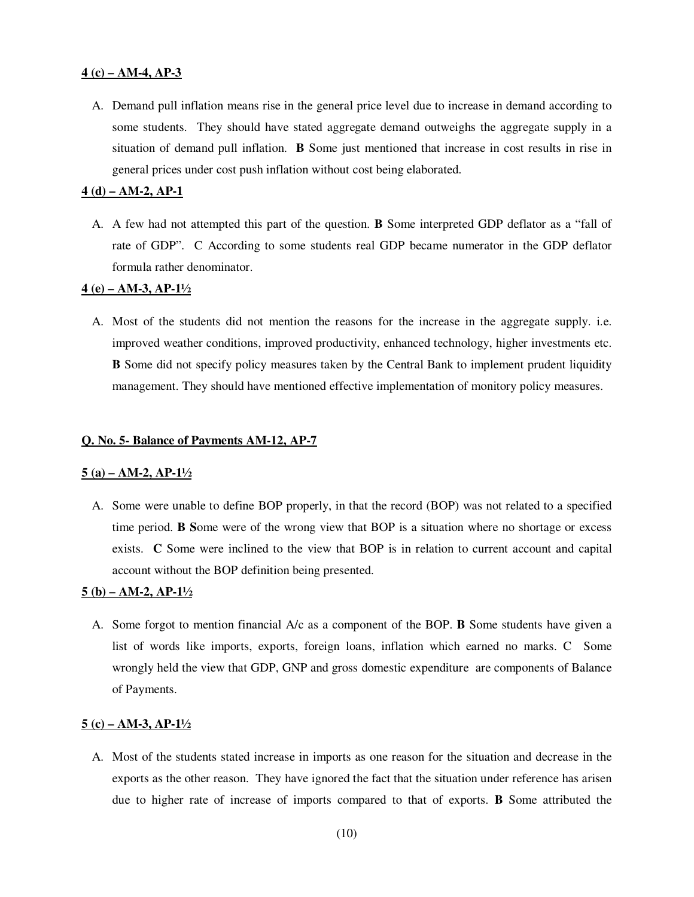## **4 (c) – AM-4, AP-3**

A. Demand pull inflation means rise in the general price level due to increase in demand according to some students. They should have stated aggregate demand outweighs the aggregate supply in a situation of demand pull inflation. **B** Some just mentioned that increase in cost results in rise in general prices under cost push inflation without cost being elaborated.

#### **4 (d) – AM-2, AP-1**

A. A few had not attempted this part of the question. **B** Some interpreted GDP deflator as a "fall of rate of GDP". C According to some students real GDP became numerator in the GDP deflator formula rather denominator.

### **4 (e) – AM-3, AP-1½**

A. Most of the students did not mention the reasons for the increase in the aggregate supply. i.e. improved weather conditions, improved productivity, enhanced technology, higher investments etc. **B** Some did not specify policy measures taken by the Central Bank to implement prudent liquidity management. They should have mentioned effective implementation of monitory policy measures.

#### **Q. No. 5- Balance of Payments AM-12, AP-7**

#### **5 (a) – AM-2, AP-1½**

A. Some were unable to define BOP properly, in that the record (BOP) was not related to a specified time period. **B S**ome were of the wrong view that BOP is a situation where no shortage or excess exists. **C** Some were inclined to the view that BOP is in relation to current account and capital account without the BOP definition being presented.

### **5 (b) – AM-2, AP-1½**

A. Some forgot to mention financial A/c as a component of the BOP. **B** Some students have given a list of words like imports, exports, foreign loans, inflation which earned no marks. C Some wrongly held the view that GDP, GNP and gross domestic expenditure are components of Balance of Payments.

### **5 (c) – AM-3, AP-1½**

A. Most of the students stated increase in imports as one reason for the situation and decrease in the exports as the other reason. They have ignored the fact that the situation under reference has arisen due to higher rate of increase of imports compared to that of exports. **B** Some attributed the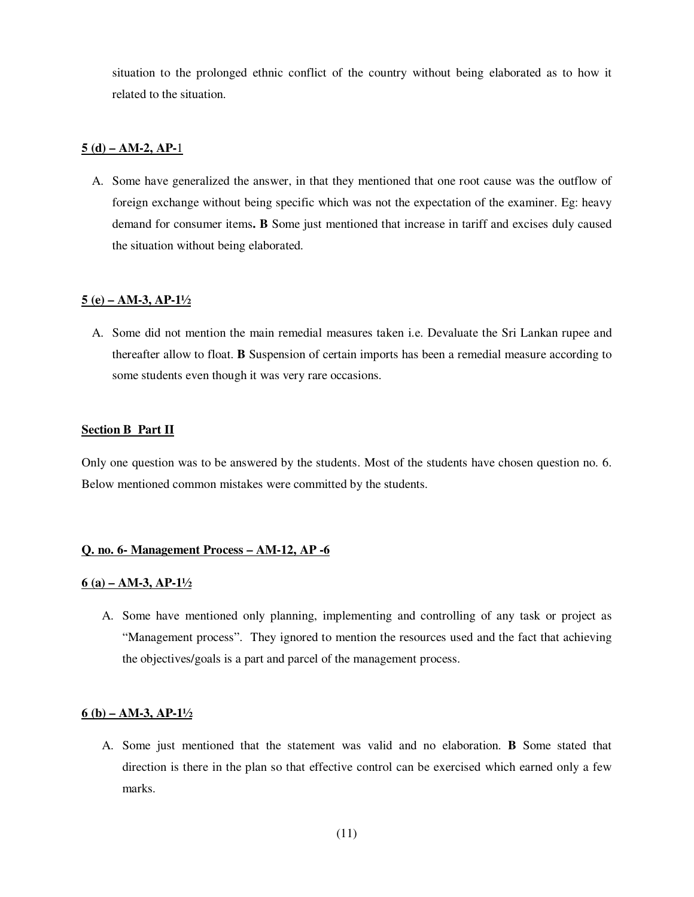situation to the prolonged ethnic conflict of the country without being elaborated as to how it related to the situation.

## **5 (d) – AM-2, AP-**1

A. Some have generalized the answer, in that they mentioned that one root cause was the outflow of foreign exchange without being specific which was not the expectation of the examiner. Eg: heavy demand for consumer items**. B** Some just mentioned that increase in tariff and excises duly caused the situation without being elaborated.

#### **5 (e) – AM-3, AP-1½**

A. Some did not mention the main remedial measures taken i.e. Devaluate the Sri Lankan rupee and thereafter allow to float. **B** Suspension of certain imports has been a remedial measure according to some students even though it was very rare occasions.

### **Section B Part II**

Only one question was to be answered by the students. Most of the students have chosen question no. 6. Below mentioned common mistakes were committed by the students.

#### **Q. no. 6- Management Process – AM-12, AP -6**

#### **6 (a) – AM-3, AP-1½**

A. Some have mentioned only planning, implementing and controlling of any task or project as "Management process". They ignored to mention the resources used and the fact that achieving the objectives/goals is a part and parcel of the management process.

## **6 (b) – AM-3, AP-1½**

A. Some just mentioned that the statement was valid and no elaboration. **B** Some stated that direction is there in the plan so that effective control can be exercised which earned only a few marks.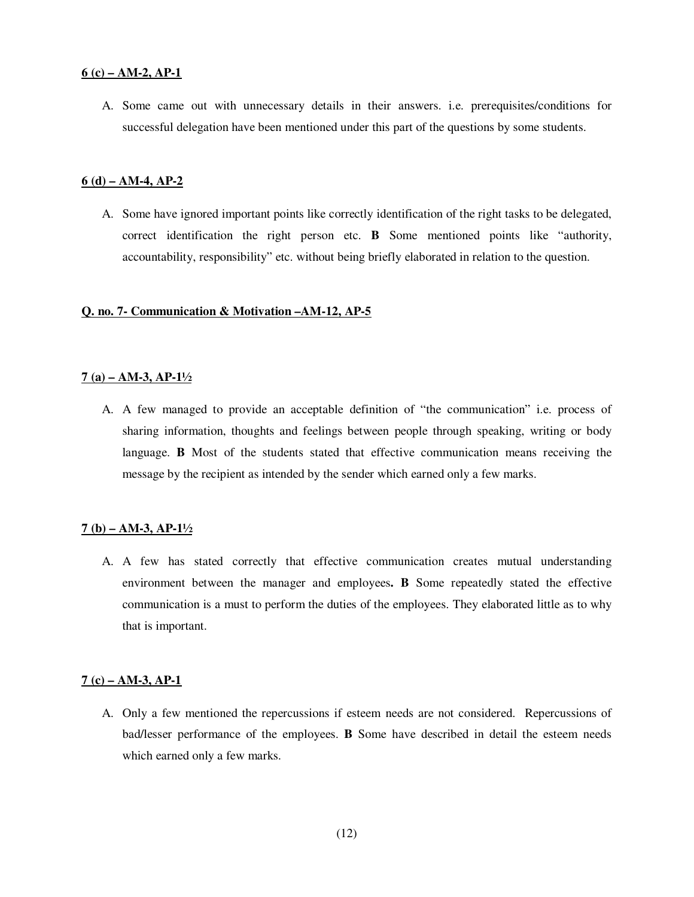#### **6 (c) – AM-2, AP-1**

A. Some came out with unnecessary details in their answers. i.e. prerequisites/conditions for successful delegation have been mentioned under this part of the questions by some students.

## **6 (d) – AM-4, AP-2**

A. Some have ignored important points like correctly identification of the right tasks to be delegated, correct identification the right person etc. **B** Some mentioned points like "authority, accountability, responsibility" etc. without being briefly elaborated in relation to the question.

### **Q. no. 7- Communication & Motivation –AM-12, AP-5**

### **7 (a) – AM-3, AP-1½**

A. A few managed to provide an acceptable definition of "the communication" i.e. process of sharing information, thoughts and feelings between people through speaking, writing or body language. **B** Most of the students stated that effective communication means receiving the message by the recipient as intended by the sender which earned only a few marks.

#### **7 (b) – AM-3, AP-1½**

A. A few has stated correctly that effective communication creates mutual understanding environment between the manager and employees**. B** Some repeatedly stated the effective communication is a must to perform the duties of the employees. They elaborated little as to why that is important.

#### **7 (c) – AM-3, AP-1**

A. Only a few mentioned the repercussions if esteem needs are not considered. Repercussions of bad/lesser performance of the employees. **B** Some have described in detail the esteem needs which earned only a few marks.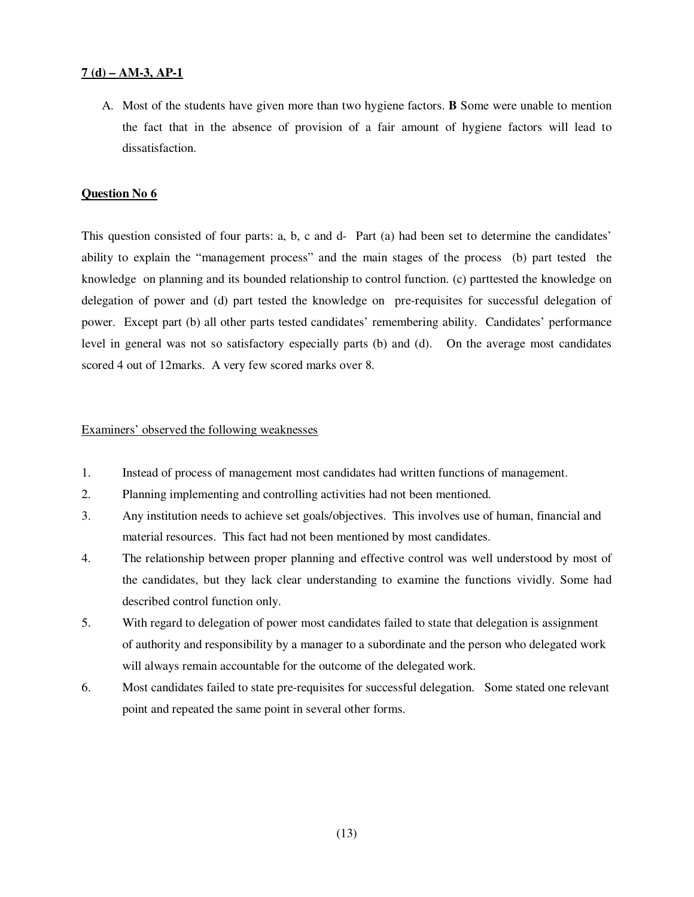## **7 (d) – AM-3, AP-1**

A. Most of the students have given more than two hygiene factors. **B** Some were unable to mention the fact that in the absence of provision of a fair amount of hygiene factors will lead to dissatisfaction.

#### **Question No 6**

This question consisted of four parts: a, b, c and d- Part (a) had been set to determine the candidates' ability to explain the "management process" and the main stages of the process (b) part tested the knowledge on planning and its bounded relationship to control function. (c) parttested the knowledge on delegation of power and (d) part tested the knowledge on pre-requisites for successful delegation of power. Except part (b) all other parts tested candidates' remembering ability. Candidates' performance level in general was not so satisfactory especially parts (b) and (d). On the average most candidates scored 4 out of 12marks. A very few scored marks over 8.

## Examiners' observed the following weaknesses

- 1. Instead of process of management most candidates had written functions of management.
- 2. Planning implementing and controlling activities had not been mentioned.
- 3. Any institution needs to achieve set goals/objectives. This involves use of human, financial and material resources. This fact had not been mentioned by most candidates.
- 4. The relationship between proper planning and effective control was well understood by most of the candidates, but they lack clear understanding to examine the functions vividly. Some had described control function only.
- 5. With regard to delegation of power most candidates failed to state that delegation is assignment of authority and responsibility by a manager to a subordinate and the person who delegated work will always remain accountable for the outcome of the delegated work.
- 6. Most candidates failed to state pre-requisites for successful delegation. Some stated one relevant point and repeated the same point in several other forms.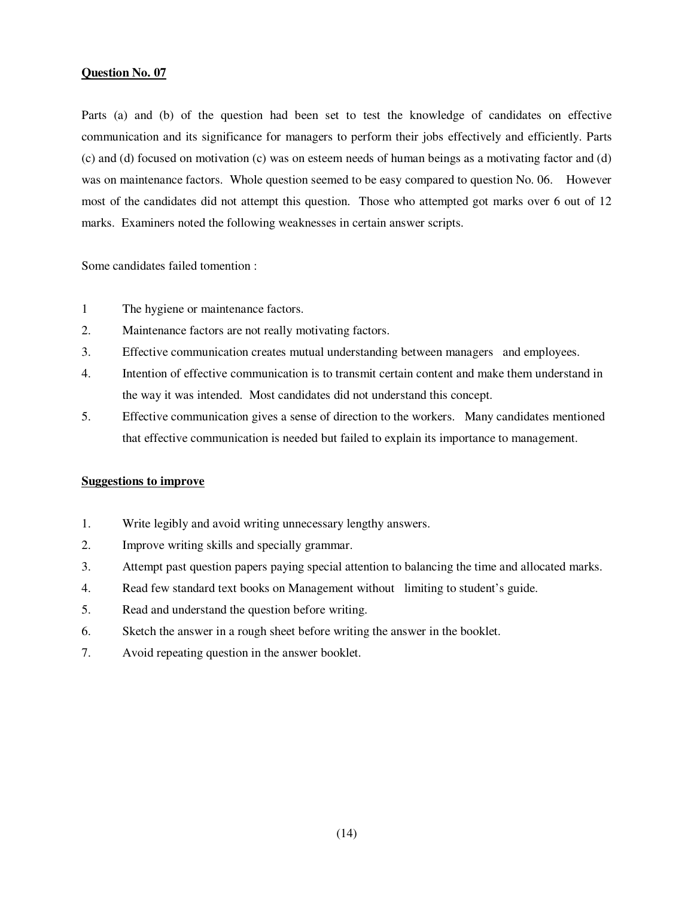Parts (a) and (b) of the question had been set to test the knowledge of candidates on effective communication and its significance for managers to perform their jobs effectively and efficiently. Parts (c) and (d) focused on motivation (c) was on esteem needs of human beings as a motivating factor and (d) was on maintenance factors. Whole question seemed to be easy compared to question No. 06. However most of the candidates did not attempt this question. Those who attempted got marks over 6 out of 12 marks. Examiners noted the following weaknesses in certain answer scripts.

Some candidates failed tomention :

- 1 The hygiene or maintenance factors.
- 2. Maintenance factors are not really motivating factors.
- 3. Effective communication creates mutual understanding between managers and employees.
- 4. Intention of effective communication is to transmit certain content and make them understand in the way it was intended. Most candidates did not understand this concept.
- 5. Effective communication gives a sense of direction to the workers. Many candidates mentioned that effective communication is needed but failed to explain its importance to management.

### **Suggestions to improve**

- 1. Write legibly and avoid writing unnecessary lengthy answers.
- 2. Improve writing skills and specially grammar.
- 3. Attempt past question papers paying special attention to balancing the time and allocated marks.
- 4. Read few standard text books on Management without limiting to student's guide.
- 5. Read and understand the question before writing.
- 6. Sketch the answer in a rough sheet before writing the answer in the booklet.
- 7. Avoid repeating question in the answer booklet.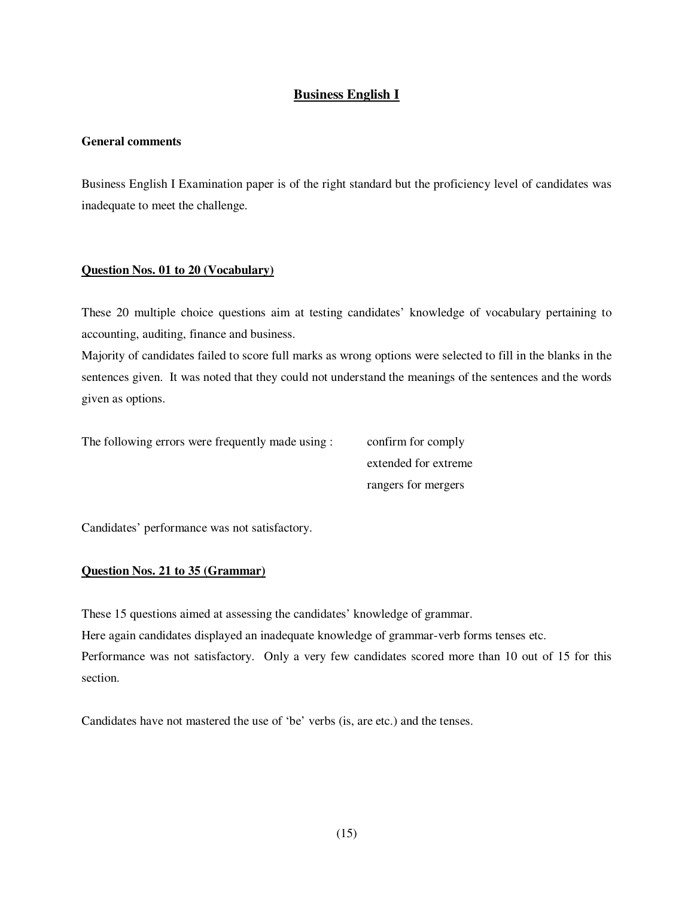# **Business English I**

## **General comments**

Business English I Examination paper is of the right standard but the proficiency level of candidates was inadequate to meet the challenge.

## **Question Nos. 01 to 20 (Vocabulary)**

These 20 multiple choice questions aim at testing candidates' knowledge of vocabulary pertaining to accounting, auditing, finance and business.

Majority of candidates failed to score full marks as wrong options were selected to fill in the blanks in the sentences given. It was noted that they could not understand the meanings of the sentences and the words given as options.

The following errors were frequently made using : confirm for comply

 extended for extreme rangers for mergers

Candidates' performance was not satisfactory.

### **Question Nos. 21 to 35 (Grammar)**

These 15 questions aimed at assessing the candidates' knowledge of grammar.

Here again candidates displayed an inadequate knowledge of grammar-verb forms tenses etc.

Performance was not satisfactory. Only a very few candidates scored more than 10 out of 15 for this section.

Candidates have not mastered the use of 'be' verbs (is, are etc.) and the tenses.